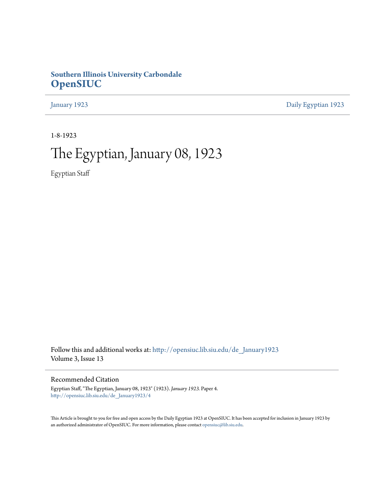# **Southern Illinois University Carbondale [OpenSIUC](http://opensiuc.lib.siu.edu?utm_source=opensiuc.lib.siu.edu%2Fde_January1923%2F4&utm_medium=PDF&utm_campaign=PDFCoverPages)**

[January 1923](http://opensiuc.lib.siu.edu/de_January1923?utm_source=opensiuc.lib.siu.edu%2Fde_January1923%2F4&utm_medium=PDF&utm_campaign=PDFCoverPages) [Daily Egyptian 1923](http://opensiuc.lib.siu.edu/de_1923?utm_source=opensiuc.lib.siu.edu%2Fde_January1923%2F4&utm_medium=PDF&utm_campaign=PDFCoverPages)

1-8-1923

# The Egyptian, January 08, 1923

Egyptian Staff

Follow this and additional works at: [http://opensiuc.lib.siu.edu/de\\_January1923](http://opensiuc.lib.siu.edu/de_January1923?utm_source=opensiuc.lib.siu.edu%2Fde_January1923%2F4&utm_medium=PDF&utm_campaign=PDFCoverPages) Volume 3, Issue 13

# Recommended Citation

Egyptian Staff, "The Egyptian, January 08, 1923" (1923). *January 1923.* Paper 4. [http://opensiuc.lib.siu.edu/de\\_January1923/4](http://opensiuc.lib.siu.edu/de_January1923/4?utm_source=opensiuc.lib.siu.edu%2Fde_January1923%2F4&utm_medium=PDF&utm_campaign=PDFCoverPages)

This Article is brought to you for free and open access by the Daily Egyptian 1923 at OpenSIUC. It has been accepted for inclusion in January 1923 by an authorized administrator of OpenSIUC. For more information, please contact [opensiuc@lib.siu.edu.](mailto:opensiuc@lib.siu.edu)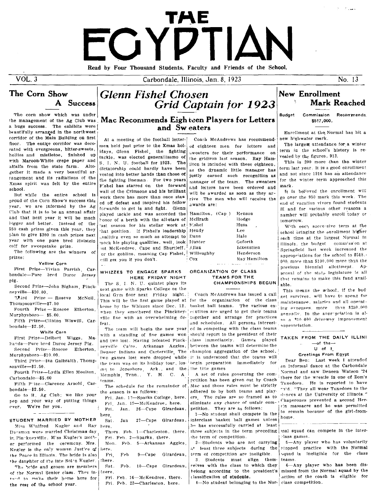# TAE FGYDTIAN Read by Four Thousand Students. Faculty and Friends of the School.

Carbondale, Illinois, Jan. 8, 1923

**Grid Captain for 1923** 

# The Corn Show A Success

The corn show which was under the management of the Ag Club was a huge success. The exhibits were beautifully arranged in the northwest corridor of the Main Building on first floor. The entire corridor was decorated with evergreens, bitter-sweets, hollies and mistletoe. finished up with Maroon-White crepe paper and alfalfa from the state farm. Altogether it made a very beautiful ar rangement and its radiations of the Xmas spirit was felt by the entire school.

But while the entire school is proud of the Corn Show's success this year, we are informed by the Ag Club that it is to be an annual affair and that next year it will be much higger and better. Instead of the \$50 cash prizes given this year, they plan to give \$300 in cash prizes next year with one pure bred Holstein calf for sweepstake prize.

The following are the winners of prizes:

Yellow Corn

First Prize-Vivian Parrish, Carbondale-Pure bred Duroc Jersey pig.

Second Prize-John Bigham, Pinckneyville-\$10.00.

Third Prize -- Roseve McNeil, Thompsonville-\$7.50

Fourth Prize - Roscoe Etherton. Murphysboro-\$5.00.

Fifth Prize-Clinton Wiswill, Car $bondale - $2.50$ .

## White Corn

First Prize-Delbert Wiggs, Maltanda-Pure bred Duroc Jersey Pig. Second Prize-Roscoe Etherton.

Murphyshoro-\$10.00. Third Prize-Ina Galbraith. Thomp-

sonville-\$7.50. Fourth Prize-Lydia Ellen Moulton.

Carbondale-\$5.00

 $=$   $-$ 

Fifth Prize-Clarence Arnold, Carbondale-\$2.50.

Go to it, Ag Club; we like your nep and your way of putting things ever. We're for you.

## STUDENT MARRIED BY MOTHER

Miss Winifred Kugler and Ray here, Dansman were married Christmas day ir, Pinakneyville. M'ss Kugler's mother performed the ceremony. Mrs. Kugler is the only woman Justice of the Peace in Illinois. The bride is also the daughter of the late Solon Kugler.

The bride and groom are members of the Normal Senior class. They in- there. tond to make their home here for the rest of the school year.

# Mac Recommends Eighteen Players for Letters and Sweaters

 $H<sub>2</sub>$ 

At a meeting of the football lettermen held just prior to the Xmas holidays, Glenn Fishel, the fighting tackle, was elected generallissmo of S. I. N. U. football for 1923. The dictatorship could hardly have been vested into better hands than those of the fighting lineman. For two years Fishel has starred on the forward wall of the Crimsons and his brilliant work there has more than once staw ed off defeat and inspired his fellow forwards to get in and fight. Glenn played tackle and was accorded the honor of a berth with the all-stars of ast season for his stellar work at 'hat position. If Fishel's leadership He  $_{0}$ ualities even so much as attempt to Du mock his playing qualities, well, look Hu out McKendree, Cape and Shurtleff, <sup>1</sup>.4.1 or the goblins, meaning Cap Fishel, W will get you if you don't. ് ല

**Glenn Fishel Chosen** 

## WHIZZES TO ENGAGE SPARKS HERE FRIDAY NIGHT

The S. I. N. U. quintet plays its next game with Sparks College on the local Gym floor next Friday night. home by the Whizzes since Dec. 12. when they smothered the Pinckneyville five with an overwhelming defeat.

The team will begin the new year with a standing of five games won and two lost. Having defeated Pinckneyville Cairo, Arkansas Aggies, Denver Indians and Carterville, The ing to Jonesboro, Ark., and the the title games Memphis Tenn., Y. M. C. A teams.

The schedule for the remainder of the season is as follows:

Fri. Jan. 12-Sparks College, here. Fri, Jan. 19-McKendree, here. Fri. Jan. 26-Cape Girardeau,

here  $27 - C$ a pe  $Sat.$ Girardeau, Jan

- Thurs. Feb. 1-Charleston, there. Fri. Feb. 2-Sparks, there.
- Mon. Feb. 5-Arkansas Aggies, here
- Fri. Feb  $9 - C$ a pe Girardeau. there. Feb. 10-Cape Girardeau. Sat.
	-
	- Fri. Feb. 16-McKendree, there. Fri. Feb. 23-Charleston, here.

Coach McAndrews has recommended eighteen men for letters and sweaters for their performance  $\alpha$ the griditon last season. Ray Hamilton is included with these eighteen. as the dynamic little manager has justly earned such recognition as manager of the team. The sweaters and letters have been ordered and will be awarded as soon as they arrive The men who will receive the awards are:

| Hamilton, (Cap) | Henson              |
|-----------------|---------------------|
| McIlrath        | Hodge               |
| F.shel          | Huss                |
| Hendy           | Lee                 |
| Dunn            | Hale                |
| Hunter          | Goforth             |
| Allan           | <b>Eixenstien</b>   |
| Willoughby      | Henderson           |
| Cox             | <b>Ray Hamilton</b> |
|                 |                     |

## ORGANIZATION OF CLASS TEAMS FOR THE **CHAMPIONSHIPS BEGUN**

Coach McAndrews has issued a call This will be the first game played at for the organization of the class basket ball teams. The various exequtives are urged to get their teams together and arrange for practices and schedules. All persons interested in competing with the class teams should report to the president of their class immediately. Games played between the teams will determine the champion aggregation of the school. two games lost were dropped while it is understood that the teams will the team was on its holiday tour, los- begin preparation immediately for

A set of rules governing the competition has been given out by Coach Mac and these rules must be strictly adhered to by both teams and players. The rules are so framed as to eliminate any chance of unfair competition. They are as follows:

1-No student shall compete in the interclass basket ball games unless he has successfully carried at least three subjects in the term preceding the term of competition.

2-Students who are not carrying least three subjects during the term of competition are ineligible. 3. Students must align themrelves with the class to which they belong according to the president's classification of students.

 $4$ -No student belonging to the Nor- class competition.

# **New Enrollment Mark Reached**

No. 13

**Budget** Commission Recommends \$517,000.

Enrellment at the Normal has hit a new highwater mark.

The largest attendance for a winter term in the school's history is revealed by the figures, 913.

This is 200 more than the winter term last year. It is a good enrollment and not since 1916 has an attendance for the winter term approached this mark.

It is believed the enrollment will go over the 950 mark this week. The end of vacation vivors found students ill and for various other reasons a number will probably enroll today or tomorrow.

With each successive term at the school bringing the enrollment higher each time at the largest Normal in Illinois, the budget commission at Springfield last week increased the appropriations for the school to \$518. 000, more than \$100,000 more than the previous biennial allottment. Approval of the state legislature is all that remains to make this fund available.

This means the school, if the budget survives, will have to spend for maintenance, salaries and all operating expenses, more than \$250,000 annually. In the appropriation is also a 310,000 driveway improvement appropriation.

## TAKEN FROM THE DAILY ILLINI  $-$ of the $-$

# $U$  of  $U$

Greetings From Egypt Dear Ben: Last week I attended an Informal dance at the Carbondale Normal and saw Deneen Watson '24 there for the wrestle in one of Zom's Tuxedoes. He is reported to have anid "They all wear Tuxedoes to the donces at the University of Illinois." Chaperones prevented a second Herrin massacre and he was permitted to remain because of the girl-from-

mal squad can compete in the interlass games

home.

5-Any player who has voluntarily stopped practice with the Normal squad is ineligible for the class teams

6-Any player who has been dismissed from the Normal squad by the action of the coach is eligible for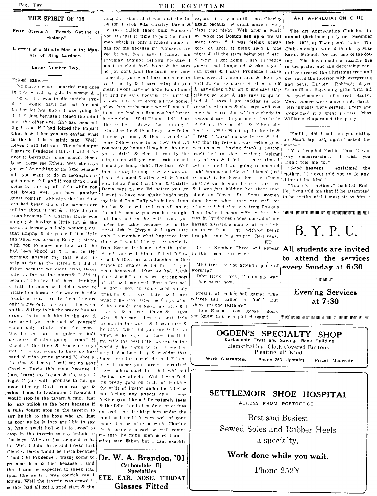Page Two

## THE SPIRIT OF '75

From Stewart's "Parody Outline of History."

L etters of a Minute Man in the Man ner of Ring Lardner.

Letter Number Two.

Friend Ethen-

No matter what a married man does in this world be gets in wrong & I suppose if I was to die tonight Pruderer would bawl me out for not haring let her know I was going to  $d_i$  i<sub>t</sub>  $f$  just because I joined the minit men the other eve. Sho has been acting like as if I had joined the Baptist Church & I bet you are saying what in the h-Il is a minit man. Well, Ethen I will tell you. The other night I says to Prudence I think I will drive over to Lexington to get shodd. Bessy is ane horse see Ethen. We'l she says you will do nothing of the kind because all you want to do in Lexington is get a snoot full and if you think I am going to wate up all night while you get boiled well you have another guess coming. She says the last time vou had bessy shodd the navbers are talking about it net & I savs do you n ean because I & Charley Davis was singing & having a little fun & she says no because nobody wouldn't call that singing & do you call it a little fon when you brought Bessy up stares with you to show me how well she had been shodd at 3 a.m. in the merning answer me that which is only as far as the stares & I did it Fthen because we didnt bring Bessy only as far as the stares& I did it because Charley had been drinking a little to much & I didnt want to iritate him because the way to handle "runks is to not iritate them they are only worse only yo - cant tell a woman that & they think the way to handef drunk; is to look him in the eye & say arent you ashamed of yourself which only iritates him the more. Wel I says I am rot going to thalf n) horse of mine going a round 1/2 shodd at the time & Prudence says well I am not going to have no husband of mine going around 1/2 shot al the fime & I says I will not go near Charley Davis this time because I have learnt my lesson & she says all right if you will promise to not go near Charley Davis you can go & when I got to Lexington I thought I would stop in the tavern a min. just to say hulloh to the boys because if a fello doesnt stop in the taverin to say hullch to the boys who are just as good as he is they are lible to say h<sub>a</sub> has a swelt hed & is to proud to stop in the taverin to say hulloh to the boys. Who are just as good as he is. Well I didn't have and i dear that Charley Davis would be there because I had told Prudence I wasnt going to Dr. W. A. Brandon, '01 go near him & just because I said that I cant be expected to sneek into toun like as if I was convick can I Ethen. Well the taverin was crowd " & they had all got a good start & the

# THE EGYPTIAN

long and short of it was that the 1st explain it to you until I see Charley person I saen was Charley Davis & again because he didnt make it very be say; bulloh there pink whiskers clear that night. Well after a while you are just in time to join the mint we woke the Boston fish up & we all annual Christmas party on December men which is only a nicked name he went home & I was feeling pretty has for me because my whiskers are good on acct. it being such a nice red br wn. No I says I cannot join night & all the stars being out & etc. anything tonight fellows because 1 & when I got home I say Prodence must so right back home & he says guess what happened & she says I no you dont joint the minit men now can guess & I says Prudence I have some day you wont have no home to been elect it ; min't man & she says go h me to & I says what do you well go on up starrs & sitep it off mean I wont have no home to go home  $\&$  says sleep what off  $\&$  she says step to and he says because the Brittish talking so loud & she says to go to are going to him dawn all the homes ied & I says I am talking in conof we farmers because we will not s 1<sup>1</sup> versational tones & she says well you them any food but first you had better must be conversing with somebody in have a drink. Well Ethen a fell, dine. Boston & savs do you mean that little like to be a sissoy about taking 1 blond on Peeron St. & Ethen she drink does he & then I says now fellos went a 1.000.000 mi, up in the air & I must go home & then a counte of I seen it wasnt no use to try  $\&$  tell more lellow come in & they said Ed her that the reason I was feeling good you wont go home till we have brought was on geet, having drank a Boston you a drink & elect it you to the swelt hed to sleep without feeling minut men will you and I said no but any affects & I bet the next time I ing pretty good & after a while Ssaid as much if he doesnt feel the affects now fellow I must go home & Charley as if he was brought home in a stuper Davis says to me Ed before you go I want to have you shake hands with my friend Tom Duffy who is here from dont hunw when they are well of Boston & he will tell you all about the minit men & you can join tonight. but look out or he will drink you under the table because he is the worst Joh in Ebston & I savs sure only I remember what happened last time & I would like to see anybody from Buston drink me under the tabel <sup>2</sup> het vou & I Ethen if that fellow is a fish then my grandmother is the prince of whales & let m<sub>2</sub> tell you what happened. After we had drank about 4 or 5.1 step he was getting sort of wite & I says well Boston lets se'le down now to some good steddy drinking & ho says listen & I says what  $\&$  he savs listen  $\&$  f says what & he says do you know my wife & I have no & ha sava listen & I sava what & he says shes the best little we man in the world & I says sure & he says what did you say & I says when & he says you have insult it my wife the best little woman in the world & he begun to cry & we had only had a bout 1 qt & wouldnt that knock you for a cockide gool Fihen only I suess you arent surprised knowing how much I can helt with out feeling any affects. Well I was feeling pretty good on acct. of drinking the pride of Boston under the tabel & not feeling any affects only I was feeling good like a fello naturely feels & the fellos kind of made a lot of fuss on acct. me drinking him under the dabel so I couldn't very well of gone home then & after a while Charley Davis made a speach & well comed m<sub>2</sub> into the minit men & so I am a minit man Ethen but I cant exackly

Carbondale. Ill. **Specialties** EYE, EAR, NOSE, THROAT Glasses Fitted

must go home right after that. Well get a chanct I am going to snooted & I was just kidding her about that blond an Elecon St. Some women Ethen & I hat that guy from Bostons Tom Duffy I mean wife without she was in Predences shoes instead of her having married a man what cant holt no more than a qt. without heing

> brought hime in a stuper. Best rdgs. ED. Latter Number Three will appear

in this space next week.

Minister: Do you attend a place of worshin? John Heck: Yes. I'm on my way

her house now

Freshie at basket ball game: (The referee had called a foul ) But where are the feathers?

Inis Hearn, You goose, don . you know this is a picked team?



The Art Appreciation Club had its 10th, 1922, at Thompson's Lake. The Club extends a vote of thanks to Miss Sarah Mitchell for the use of the cottage. The boys made a roaring fire in the grate, and the decorating committee dressed the Christmas tree and decirated the interior with evergreens and bells. Barney. Robinett played Santa Claus dispensing gifts with all the graciousness of a real Santy. Many games were played all dainty refreshments were served. Every one pronounced it a great showss. Miss Williams chaperoned the party

"Emilie did I not see vou sitting on Max's lap last night?" asked the mother.

"Yes," replied Emilie, "and it was very embarrassing, I wish vou Ladn't told me to '

"Good heavens." exslaimed the then we got to singin, & we was got right because a felio gets blamed just mother. "I never told you to do anything of the kind."

"You d'd, mother," insisted Emilie "von told me that if he attempted to be sentimental I must sit on him."

# .<br>Tricht finglich in der Legelen in der Berling der der eine Trichte der Legelen der Preisen der Legelen in der B. Y. P. U.

All students are invited to attend the services every Sunday at 6:30.

*INTERNATIONAL* 

Evening Services at  $7:30$ 

THE REPORT OF RECEIVED AND DESCRIPTION OF THE CONDITIONS OF PROPERTY OF A REAL



Hemstitching, Cloth Covered Buttons, Pleating all Kind.

Work Guaranteed Phone 263 Unstairs Prices Moderate

# SETTLEMOIR SHOE HOSPITAL

**ACROSS FROM POSTOFFICE** 

**Best and Busiest** Sewed Soles and Rubber Heels a specialty.

Work done while you wait.

Phone 252Y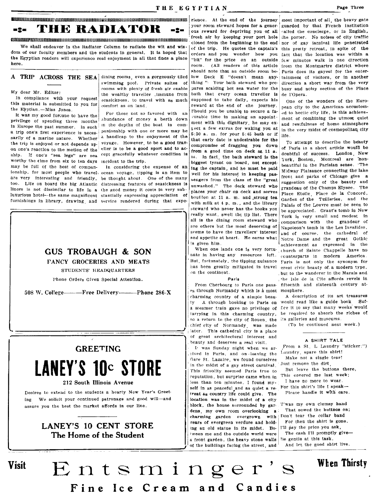IIlIUUllIIlIlIlIlIlI!llInUlIIIIIIIIIIIIIIJlll'IIlIlllllIllUUJUUlIJUIllIlIlIlIllIIllIIIIllIllIIlIlIllIlIlIlIUIllJUIIIIIIIII11111111111111111101111111111111111111011111111111111111111111111111111111 rience. At the end of the journey most Important of all, the heavy gate -:-- **THE RADIATOR -:-**

 $\frac{1}{2}$  and the measure of the Radiator Column to radiate the wit and wis- of the trip. He contains the centrin's this protty retreat in spite of the containst the protocolumn to radiate the wit and wis- of the trip. He We shall endeavor in the Radiator Column to radiate the wit and wis- of the trip. He quotes the captain's this pretty retreat, in spite of the dom of our faculty members and the students in general. It is hoped that  $\log_{1$ the Egyptian readers will experience real enjoyment in all that finos a place "bit" for the price on an outside few minutes walk in one direction

I

Visit

In compliance with your request seasickness, to travel with as much supposed to take daily, expects his one of the wonders of the Euro-<br>this material is submitted to you for comfort as on land.

in Europe the past summer. In such In Europe the past summer. In such a the very midst of cosmopolitan city and the sect in the very midst of cosmopolitan city a trip one's first experience is neces. panionship with one or more may be  $\left| \begin{array}{ccc} 5:30 & a. & m$ sarily of a marine nature. Whether a manufold of the enjoyment of the that early date is undestrable for the movement to describe the beauty<br>the trip is enjoyed or not depends up. voyage. However, to be a good travel comp on one's reaction to the motion of the 'ener is to be a good sport and to as <br>
ship. If one's "sea legs" are sea cept gracefully whatever condition is<br>
worthy the time from six to ten days incident to the trip.<br>
worthy th ionship, for most people who travel, ocean voyage, tipping is an item to regist for his interest in keeping pas- Midway Plaisance connecting the lake are very interesting and friendly, be thought about. One of the many sengers from the class of the "great front and parks of Chicago give a too. Life on board the big Atlantic distressing features of seasickness is unwashed." The deck steward who | suggestion only of the beauty and liners is not dissimilar to life in a the good money it costs in very sub-<br>luxurious hotel-the same magnificant stantially expressing appreciation of places your chair on deck and serves place Etoile. Place de la Concord, luxurious hotel--the same magnificent stantially expressing appreciation of bouillon at 11 a. m. and strong tea Garden of the Tuilleries, and the

rooms with plenty of fresh air enable pares scalding hot sea water for the busy and noisy section of the Place<br>the wealthy traveller, immune from bath that every ocean traveller is de l'Opera. My dear Mr. Editor: the wealthy traveller , immune from bath that every ocean traveller is designed.<br>In compliance with your request seasickness, to travel with as much supposed to take daily, expects his consent



FANCY GROCERIES AND MEATS

STUDENTS' HEADQUARTERS

Pbone Orders Given Special Attention.

508 W. Co\!ege---Free Delivery---Phone 286-X

# GREETING **LANEY'S 10c STORE**

## 212 South Illinois Avenue

Desires to extend to the students a bearty New Year's Greet· ing We solicit your continued patronage and good will-and assure you the best the market affords in our line.

# LANEY'S 10 CENT STORE The Home of the Student

thing ". Your bath steward who pre- pares scalding hot sea water for the

When one lands one is very fortunate in having any resources left. nate in having any resources left.  $_{\text{counterparts}}$  in modern America.<br>But fortunately, the tipping nuisance  $_{\text{Paris}}$  is not only the synonym for has been greatly mitigated in travel great civic beauty of, a modern type,<br>on the continent.

 $e_S$  through Normandy which is  $\Delta$  most mosphere.<br>charming country of a simple beau. A description of its art treasures charming country of a simple beautarrying in this charming country, so a return to the city of Rouen, the its galleries and museums. chief city of Normandy, was made later. This cathedral city is a place<br>of great architectural interest and and the state of the state architectural interest and the state of the state architectural interest and the state of the state of the state and the state architectural interest and the state and the state architectural int beauty and deserves a real visit.

L' was Sunday night when we ar-,lived In Paris, and on ·leaving the Gare St. Lazaire, we found ourselves in the midst of a gay street carnival. This frivolity seemed Paris true to reputation, but surprise came when in less than ten minutes, I found myself in as peaceful and as quiet a retreat as country life could give. The location was in the midst of a city block, the house surrounded by gardens, my own room overlooking  $\mathbf{a}$ ; That sewed the buttnos on;<br>charming garden, overgrown, with Don't tear the collar band charming garden overgrown with Don't tear the collar band<br>vears of evergreen verdure and hold. For then the shirt is gone. vears of evergreen verdure and hold-<br>ing an old statue in its midst. Be-  $\left| \begin{array}{cc} 1 \end{array} \right|$  bay the price you ask, ing an old statue in its midst.  $B_{\Theta}$ - 1'll pay the price you ask,<br>tween me and the outside world were<br>The cash I'll promptly give-'ween me and the outside world were The cash I'll promptly a front garden, the beavy stone walls  $\frac{1}{2}$  gentle at this task. a front garden, the heavy stone walls  $\frac{1}{10}$  is gentle at this task,<br>of the buildings facing the street, and  $\frac{1}{10}$  And let the good shirt live. of the buildings facing the street, and

your room steward hopes for a gener- guarded by that French institution ous reward for depriving you of all called the concierge, or in English,<br>fresh air by keeping your port hole the porter. No noises of city traffic the porter. No noises of city traffic orders and you wonder how you fact that the location was within a room. (All readers of this article from the Montmartre district where should note that an outside room be- $\frac{1}{1}$  Paris does its gayest for the enter-<br>low Deck E "doesn't mean any tainment of visitors, or in another A TRIP ACROSS THE SEA dining rooms, even a gorgeously tiled low Deck E "doesn't mean any- tainment of visitors, or in another

this material is submitted to you for comfort as on land. The reward at the end of the journey. pean city to the American- accustom-<br>the Eyptian.—Miss Jones. It was my good for the experiment to have the  $\begin{bmatrix} \text{For those not so favored with} \\ \text{or} \\ \text{or} \\ \text{or} \\ \text{or} \\ \text{or} \\ \text{or} \\ \text{or} \\ \text{or} \\ \text{or} \\ \text{or} \\ \text{or} \\ \text{or} \\ \text{or} \\ \text{or} \\ \text{or} \\ \text{or} \\ \text{or} \\ \text{or} \\ \text{or} \\ \text{or} \\ \text{or} \\ \text{or} \\ \text{or} \\ \text{or} \\ \text{or} \\ \text{or} \\ \$ It was my good fortune to have the For those not so favored with an  $\vert$  corable time in making an appoint- ment of combining the utmost quiet privilege of spending three months abundance of money a berth down  $\vert$  ment w privilege of spending the spending three money ment with this dignitary, he may ex- and reatfulness of home atmosphere

ing the captain, and he must be paid  $\frac{1}{2}$  becauting the companion of the lake paid  $\frac{1}{2}$  widtway Plaisance connecting the lake furnishings in library, drawing, and service rendered during that expe- with milk at  $4$  p.m., and the library Palais of the Louvre must be seen to steward who never has the books you be appreciated. Grant's tomb in New<br>really want, swell the tip list. There  $\frac{1}{2}$  vory is very small and modest in really want, swell the tip list. There York is very small and modest in all is the dining room steward who comparison with the grandeur of all is tbe dining rOom steward who comparison with the grandeur of are others but the most deserving of  $\begin{bmatrix} \text{Napoleon's tomb in the Les Invalides,} \\ \text{seems to have the travellers' interest, and of course, the established of$ seems to have the travellers' interest  $\begin{bmatrix} \text{and} & \text{of} \\ \text{and} & \text{course} \end{bmatrix}$ , the cathedral of and appetite at heart. He earns what  $\begin{bmatrix} \text{of} \\ \text{of} \end{bmatrix}$  and  $\begin{bmatrix} \text{and} \\ \text{of} \end{bmatrix}$  and  $\begin{bmatrix} \text{of} \\ \text{of} \end{bmatrix}$ and appetite at heart. He earns what  $\begin{bmatrix} \text{Notice} \text{ Dame} \text{ and the} \\ \text{achis} \text{ given him.} \end{bmatrix}$ <sup>1</sup> achievement as expressed In the<br>.church of Sainte Chappelle have no Faris is not only the synonym for , but to the wanderer in the Marais and Paris , the Isle de la Cite affords revels in From Cherbourg to Paris one pass· fifteenth and sixteenth century at-

> ty A through booking to Paris on would read like a guide book Suf-<br>a steamer train gave no privilege of fice it to say that many weeks would a steamer train gave no privilege of fice it to say that many weeks would<br>tarrying in this charming country, be required to absorb the riches of

> > (To be continued next week.)

# A SHIRT TALE

From a St. L Laundry "sticker:") Laundry, spare tbls sbirt!

Make not a single tear!

.lust remove the dirt, But leave the buttons there,

- This covered me last week:
- I have no more to wear. ~'or this shirt's life I speak-
- Please handle It with care.

Twas my own clumsy hand

# Entsminger's When Thirsty Fine Ice Cream and Candies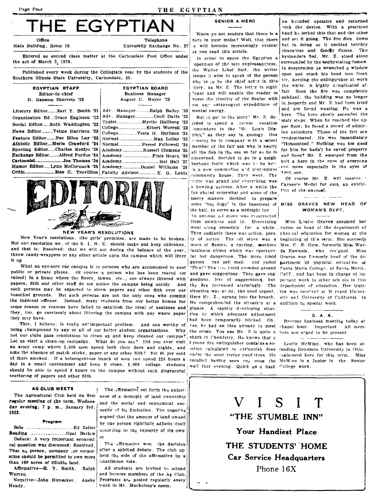### Page Four

THE EGYPTIAN

# THE EGYPTIAN

Main Building, Room 16

University Exchange No. 17

Entered as second class matter at the Carbondale Post Office under the act of March 3, 1879.

Published every week during the Collegiate year by the students of the Southern Illinois State University, Carbondale, Ill.

|                 | EGYPTIAN STAFF         |  |  |  |  |
|-----------------|------------------------|--|--|--|--|
| Editor-in-chief |                        |  |  |  |  |
|                 | D. Ransom Sherretz '23 |  |  |  |  |

Literary Editor........ Earl Y. Smith '21 Organization Ed...Grace Eagleson '23 Social Editor......Ruth Waddington '23 News Editor.........Velma Harrison '23 Feature Editor.......Sue Ellen Lay '23 Athletic Editor.... Merle Crawford '24 Sporting Editor......Charles Renfro '26  $A$ Exchange Editor........Alfred Purdue '24  $\overline{A}$ Cartoonist.........................Joe Thomas '24  $\vert$  A Humor Editor......Lynn McCormack '25 ا∆  $\mathbf{F}$ 

## **EGYPTIAN BOARD Business Manager** August C. Meyer '23

| dv. ManagerRalph Bailey '23 |  |
|-----------------------------|--|
| dv. ManagerCecil Davis '25  |  |
|                             |  |
| ollegeElbert Worrell '23    |  |
|                             |  |
|                             |  |
| formalPercel Followell '24  |  |
| cademyRussell Clemens '25.  |  |
|                             |  |
|                             |  |
| cademyDaniel Williams '28   |  |
|                             |  |



### **NEW YEAR'S RESOLUTIONS**

New Year's resolutions, like girls' promises, are made to be broken. But one resolution we, of the S. I. N. U. should make and keep unbroken, and that is; Resolved: that we will not during the balance of the year, throw candy-wrappers or any other article upon the campus which will litter. it up

What an eye-sore our campus is to persons who are accustomed to neat public or private places. Of course a person who has been reared (or raised) in a home where the floors, lawns, etc., are always littered with papers, filth and other stuff do not notice the campus being untidy. And such persons may be expected to strew papers and other filth over our beautiiul grounds. But such persons are not the only ones who commit the indecent offense. Instead, many students from our better homes for some reason or reasons have failed to establish the ideal of neatness and they, too, go carelessly about littering the campus with any waste paper they may have.

This, I believe, is really an important problem. And one worthy of being championed by any or all of our better student organizations. Why not our clubs pass resolutions to clean up and keep cleaned our campus? Let us start a clean-up campaign. What do you say? Did you ever visit an army camp where 2,500 men spend both their days and nights, and note the absence of match sticks, paper or any other filth? Yet 90 per cent of them smoked. If a heterogenious bunch of men can spend 224 hours a day in a small cantonment and keep it clean, 1,000 college students should be able to spend 8 hours on the campus without such disgraceful scattering of papers and other filth.

## **AG CLUB MEETS**

regular meeting of the term, Wednesday evening, 7 p. m., January 3rd, 1923.

### Program

Reading ................Opal Barlow Debate: A very important economical question was discussed: Resolved. That no person, company, or corpor-

ation should be permitted to own more than 160 acres of tillable land.

Affirmative-E. Y. Smith, Ralph Warren.

Negative-John Hunsaker. Ausby Hendy.

The affirmative set forth the unjust-The Agricultural Club held its first ness of a monoply of land ownership and the social and economical necessity of its limitation. The negative argued that the amount of land owned by one person rightfully adjusts itself according to the capacity of its own-

> The affirmative won the decision after a spirited debate. The club upheld the side of the affirmative by a unanimous vote.

> All students are invited to attend and become members of the Ag Club. Programs are posted regularly every week in Mr. Muckelroy's room.

# **SENIOR A HERO**

as you read this article.

In order to spare the Egyptian a epetition of the late unpleasantness. the Waller Libel Suit, the writer leems it wise to speak of the person who is to be the chief actor in this story, as Mr. Z. The letter is signi-<sup>s</sup>cant and will enable the reader to out any extravagant expenditure of mental energy.

But 10 get to the story! Mr. Z. decided to spend a recent vacation somewhere in the "St. Louis District." as they say in geology. One prening he in company with a select member of the fair sex who is nearly all the fish in the sea so far as he is concerned, decided to go to a neighborbood frolic which was to be he'd n a new commodius and pretentious community house. They went. The party was grand and everything was a howling success. After a while the fun abated somewhat and some of the merry makers decided to prepare some "hor dogs" in the basement of the hall, to serve as a midnight lun An antique oil stove was resurrected. from nowhere and lit. Everything ty of action. The oil stove was a mass of flames, a rouring, seething luminous object which was spectacular but dangerous. The more timid guests ran pell mell and yelled "Fire!" The lass timid crowded around and gave suggestions. They gave suggestions. lots of suggestions, but the fire increased alarmingly. The situation was acote, the need urgent. Here Mr. Z., sprang into the breach. He comprehended the situation at a addition to special work. glance. A rapidly developing situation to which adequate adjustment had been temporarily blicked. Oh. ves, he had an idea already to meet chapel hour. Important. All memthe crisis. You see Mr. Z is quite a hers are urged to be present shark in Chemistry. He knows that a l'yrene fire extinguisher contains a soution calculated to extinguish fires tending Dennison University in Ohio. under the most trying conditions. He recalled having seen one upon the McM'nn is a Junior in the Senior wall that evening. Quick as a flash College work.

he bounded upstairs and returned with the device. With a practiced 'Know ye not seniors that there is a | hand  $h_{\theta}$  jerked this that and the other here in your midst? Well, that there and set it going. The fire dies down s will become increasingly evident but in doing so it emitted terribly obnoxious and deadly fumes. The bystanders fled. Mr. Z. stood alone surrounded by the asphyxiating fumes. In desperation he wrenched a window open and stuck his head into fresh sir, keeping the extinguisher at work the while. A highly complicated affair Soon the fire was completely guess the identity of the Senior with subdued, the building was no longer in jeopardy and Mr. Z. bad been tried and not found wanting. He was a hero. The hero slowly ascended the stair steps. When he reached the upner floor, he faced a crowd of admiring oplookers. Those of the fair sex predominated. He was immediately "Hobsonized." Nothing was too good for him for hadn't he saved property and lives? Mr. Z. emerged from the hall a hero in the eyes of everyone and more especially in the eyes of THE one.

> Of course Mr. Z. will receive Carnegie Medal for such an exhibition of the unusual.

# MISS GRAVES NEW HEAD OF WOMAN'S DEPT.

Miss Louise Graves assumed her went along smoothly for a while. duties as head of the department of Then suddenly there was action, plen-physical education for women at the beginning of this term. She succeeds Mrs. C. E. Gum, formerly Miss Wanda Newsum, who resigned. Miss Graves was formerly head of the department of physical education at Santa Maria College, at Santa Maria. Calif., and has been in charge of important work in other schiols in this department of education. Her training was received at H rvard University and University of California in

## G. A. A.

Regular business meeting today at

Lucile McMinn, who has been atregistered here for this term. Miss

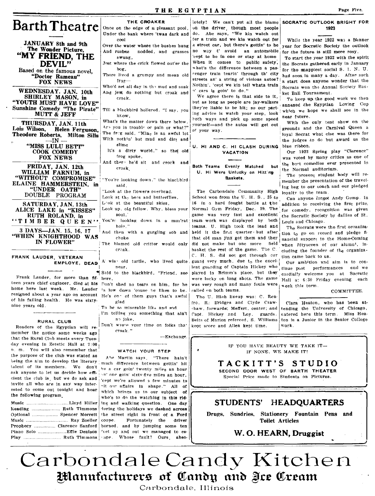**Barth Theatre** 

**JANUARY** 8th and 9th The Wonder Picture, "MY FRIEND, THE DEVIL"

Based on the famous novel, "Doctor Rameau"<br>FOX NEWS

WEDNESDAY. JAN. 10th SHIRLEY MASON. in "YOUTH MUST HAVE LOVE" Sunshine Comedy "The Pirate" **MUTT & JEFF** 

THURSDAY, JAN. 11th Lois Wilson, Helen Ferguson. Theodore Roberts, Milton Sills  $-IN$  . "MISS LULU BETT"

**COOK COMEDY FOX NEWS** 

FRIDAY, JAN. 12th WILLIAM FARNUM, in "WITHOUT COMPROMISE" ELAINE HAMMERSTEIN, in "UNDER OATH" DOUBLE PROGRAM

SATURDAY, JAN. 13th ALICE LAKE in "KISSES" RUTH ROLAND, in "TIMBER QUEEN"

3 DAYS-JAN. 15, 16, 17 "WHEN KNIGHTHOOD WAS IN FLOWER"

FRANK LAUDER, VETERAN **EMPLOYE, DEAD** 

Frank Lauder, for more than fif- here teen years chief engineer, died at his Don't shed no tears on him, for he home here last week. Mr. Lauder 1s low down 'couse he likes to be. resigned about a year ago on account He's one of them guys that's awful of his failing health. He was sixtynine years old.

**RURAL CLUB** 

Readers of the Egyptian will remember the notice some weeks ago that the Rural Club meets every Tuesday evening in Zetetic Hall at 7:00 n. m. You will also remember that the purpose of the club was stated as being the aim to develop the literary talent of its members. We don't ask anyone to let us decide how efficient the club is, but we do ask and invite all who are in any way interested to come out tonight and hear the following program.

keading ....................... Ruth Timmons Optional ...................... Spencer Morrett Prophecy ................... Clarence Sanford 

THE CROAKER Once on the edge of a pleasant pool, Under the bank where 'twas dark and cool Over the water where the bushes hung And rushes nodded, and grasses swnne. Jest where the crick flowed out'er the hor. There lived a grumpy and mean old  $f\mathbf{r}\alpha\mathbf{r}$ Who'd set all day in the mud and soak And jest do nothing but croak and croak.

Till a blackbird hollered. "I sav. you krow

What's the matter down there below. Are you in trouble or pain or what?" The freg said, "Mine is an awful lot With nothin' but mud and dirt and slime

It's a dirty world." so the old frog spoke,

And there he'd sit and crock and croak

"You're looking down." the blackbird said

"Look at the flowers overhead.

Look at the best and butterflies.

Look at the beautiful skies,

Look up, old fellow. Why, bless your soul.

You'ne looking down in a mus'rat hole."

And then with a gurgling sob and choke

The blamed old critter would only creak.

A wish old turtle, who lived quite near.

Said to the blackbird, "Friend, see

glad

To be so miserable like and sad. I'm telling you something that ain't no joke.

Don't waste your time on folks that  $\mathop{\rm cros}\nolimits$ k."

-Exchange

## WATCH YOUR STEP

Abe Martin says, "There hain't much difference between gettin' hit by a car goin' twenty miles an hour on one goin sixty-five miles an hour. 'cept we're allowed a few minutes to "it our affairs in shape." All of which brings us to our subject of who's to do the watching in this riding and walking question. One day during the holidays we dashed across the street right in front of a Ford coune. Fortunately the driver horned. and by jumping some ten feet up and out we managed to eslutely! We can't put all the blame SOCRATIC OUTLOOK BRIGHT FOR on the driver, though most people do. Abe says, "We kin watch out fer a train and we kin watch out for a street car, but there's gettin' to be no way t' avoid 'cept to be in one or stay at home When it comes to public safety, what's the difference between a passenger train tearin' through th' city streets an' a string of vicious autos? Nothin', 'cept we kin tell whata train n' cars is goin' to do."

We agree there is that side to it. but as long as people are jay-walkers they're liable to be hit; so our parting advice is watch your step. look both ways and pick up some speed vourself-and the autos will get out of your way.

### U. HI AND C. HI CLASH DURING **VACATION**

Both Teams Evenly Matched but U. Hi Were Unlucky on Hitting Baskets.

The Carbondale Community High School won from the U. H. S., 25 to 16 in a hard fought battle at the Normal Gym Friday, Dec. 29. The game was very fast and excellent team work was displayed by both teams. U. High took the lead and held it the first quarter, but after that old man jinx got them and they did not make but one more field basket the rest of the game. The C. C. H. S. did not get through cur guard very much, due to the excellent guarding of Captain Hickey who played in Brimm's place, but they were lucky on long shots. The game was very rough and many fouls were called on both teams.

The U. Hith lineup was: C. Renfro. R. Eridges and Clyde Crawshaw, forwards; Meffert, center; and Capt. Hickey and Loy. guards. Belts of Marion refereed, S. Williams kept score and Allen kept time.

# 1923

While the year 1922 was a Blanner year for Socratic Society the outlook an automobile for the future is still more rosy.

To start the year 1922 with the spirit the Socrats gathered early in January for the smapplest social S. I. N. U. had seen in many a day. After such a start does anyone wonder that the Socrats won the Annual Society Basket Ball Tournament.

To keep up the good work we then annexed the Egyptian Loving Cup which we hope we shall see in the near future.

With the only tent show on the grounds and the Carnival Queen a loval Socrat what else was there for the judges to do but award us the blue ribbon.

Our 1922 Spring play "Clarence" was voted by many critics as one of the best comedies ever presented in the Normal auditorium.

The present student body will remember the presentation of the traveling bag to our coach and our pledged lovalty to the team.

Can anyone forget Andy Gump. In addition to receiving the first prize. for comedy, recognition was given the Socratic Society by dailies of St. Louis and Chicago.

The Socrats were the first on ranization to go on record and pledge financial support to the Home-Coming when fiftyseven of our alumn', including the founder of the organization came back to us.

Our ambition and aim is to continue past performances and we cordially welcome you at Socratic Hall at 6:30 Friday evening each week this term.

## COMMITTEE.

Clara Heaton, who has been attending the University of Chicago, entered here this term. Miss Heaton is a Junior in the Senior College work.

IF YOU HAVE BEAUTY WE TAKE IT-IF NONE, WE MAKE IT!

TACKITT'S STUDIO

SECOND DOOR WEST OF BARTH THEATER Special Price made to Students on Pictures.

# STUDENTS' HEADQUARTERS

Drugs, Sundries, Stationery Fountain Pens and **Toilet Articles** 

# W. O. HEARN, Druggist

Carbondale Candy Kitchen Manufacturers of Candy and Ice Cream

Carbondale, Illinois

Page Five.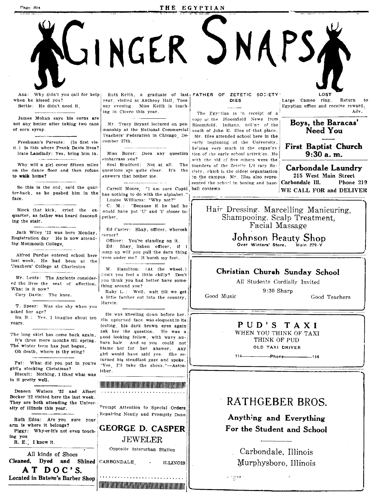## THE EGYPTIAN

LINGER JNAPS,

Ana: Why didn't you call for help when he kissed von? Bertie: He didn't need it.

Page Six

James Mohan says his corns are not any better after taking two cans of corn syrup.

Freshman's Parents: (In first visit.) Is this where Frank Davis lives? Irate Landlady: Yes, bring him in.

Why will a girl cover fifteen miles on the dance floor and then refuse to walk home?

So this is the end, said the quarter-back, as he pushed him in the face.

Block that kick, cried the exquarter, as father was heard descending the stair.

Jack Wiley '22 was here Monday, Registration day He is now attending Monmouth College

Alfred Purdue entered school here last week. He had been at the Teachers' College at Charleston

Mr. Lentz: The Ancients considered the liver the seat of affection. What is it now? Cary Davis: The knee.

T. Speer: Was she shy when you asked her age?

vears.

The long skirt has come back again. It's three more months till spring. The winter term has just begun. Oh death, where is thy sting?

Pat: What did you put in you're girl's stocking Christmas? Biscuit: Nothing, I liked what was in it pretty well.

Deneen Watson '22 and Albert Becker '22 visited here the last week. They are both attending the University of Illinois this year. Ruth Edna: Are you sure your

arm is where it belongs? Piggy: Why-er-it's not even touching you R. E. I know it.

All kinds of Shoes Cleaned, Dyed and Shined CARBONDALE,  $DOC'S.$ A T Located in Batson's Barber Shop

Ruth Keith, a graduate of last FATHER OF ZETETIC SOCIETY year, visited at Anthony Hall, Tuesuay evening. Miss Keith is teaching in Cicero this year.

Mr. Tracy Bryant lectured on penmanship at the National Commercial Teachers' Federation in Chicago December 27th.

Miss Bover: Does any question embarrass vou?

Seal Bradford: Not at all. The questions are quite clear. It's the answers that bother me.

Carroll Moore. "I am sure Cupid ball contests. has nothing to do with the alphabet Louise Williams: "Why not?"

C. M.: "Because if he had he would have put 'U' and 'I' closer torether

Ed Carter: Shay, officer, wheresh corner?

Officer: You're standing on it. Ed: Shay, lishen officer, if I jump up will you pull the darn thing trom under me? It hursh my feet.

M. Hamilton: (At the wheel.) Don't you feel a little chilly? Don't you think you had better have something around you?

Ruby L.: Well, walt till we get a little farther out into the country, Marvin.

He was kneeling down before her. Ira B.: Yes, I imagine about ten His upturned face was eloquent in its feeling, his dark brown eyes again ask her the question. He was a . good looking fellow, with wavy auburn hair And so you could not blame her for her answer. Any girl would have said yes. She returned his steadfast gaze and spoke, "Yes. I'll take the shoes."-Astonisher.



**MARKET STATE OF A SET OF A SET OF A SET OF A SET OF A SET OF A SET OF A SET OF A SET OF A SET OF A SET OF A SE** 

# **DIES**

The Egyptian is in receipt of a copy of the Bloomfield News from Bloomfield, Indiana, tell'not of the ueath of John E. Illes of that place. Mr. Illes attended school here in the early beginning of the University, be'ning very much in the organization of the early school activities. He with the aid of five others were the founders of the Zetetic Literary Society, which is the oldest organization on the campus. Mr. Illes also represented the school in boxing and base-

LOST Large Cameo ring. **Return**  $\mathbf{t}$ Egyptian office and receive reward. Adv.

> Boys, the Baracas' Need You

**First Baptist Church**  $9:30a.m.$ 

**Carbondale Laundry** 215 West Main Street Carbondale Ill. Phone 219

WE CALL FOR and DELIVER

Hair Dressing. Marcelling Manicuring, Shampooing. Scalp Treatment. Facial Massage

> Johnson Beauty Shop Over Winters' Store. .<br>Main 279.'

# Christian Church Sunday School

All Students Cordially Invited  $9:30$  Sharp

Good Music

Good Teachers

# PUD'S TAXI

WHEN YOU THINK OF TAXI THINK OF PUD OLD TAXI DRIVER

 $114 -$ Phone——  $-114$ 

# **RATHGEBER BROS.**

Anything and Everything For the Student and School

> Carbondale, Illinois Murphysboro, Illinois

 $\mathbb{Z} \subset \bigcup_{i=1}^n \mathbb{Z} \bigcup_{i=1}^n \mathbb{Z}$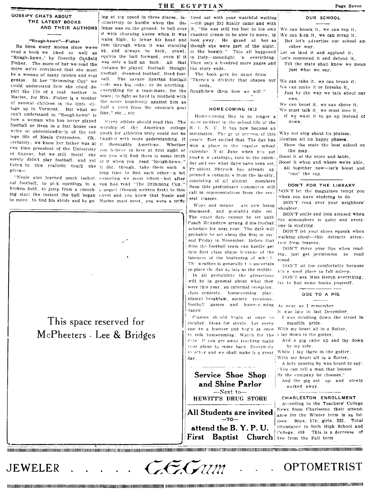## **GOSSIPY CHATS ABOUT** THE LATEST BOOKS AND THEIR AUTHORS

## "Rough-hewn"-Fisher

Its been many moons since we-ve read a book we liked so well as "Rough-hewn, by Dorothy Canfield Fisher. The more of her we read the more we're convinced that she must be a woman of many talents and real genius. In her "Brimming Cup" we could understand how she could depict the life of a real mother in Marise, for Mrs. Fisher is a mother of several children in the little village up in Vermont. But what we can't understand in "Rough-hewn" is how a woman who has never played football or liven in a frat house can worship of the American college write so understandingly of the college life of Neale Crittenden. Oh, certainly, we know her father was at it thoroughly American. Whether one time president of the University you helieve in love at first sight or of Kansas, but we still insist she surely didn't play football, and yet in it when you read "Rough-hewn." listen to this realistic touch she it did, though, take them such a gíves-

cal football; to pick openings in a vou had read "The Drimming Cup." broken field, to jump from a crouch- a sequel (though written first) to this ing start the instant the ball began novel and you knew that Neale and

ing at top speed in three places, in- tired out with your watchful waiting stinctively to hurdle when the der fense was on the ground, to bull over it with churning knees when it was waist high, to lower his head and look away. He gazed at her as ram through when it was standing up, and always to kick, crawl, squirm the ball forward, even if it was only a half an inch. All that Autumn he played football thought football, dreamed football, lived footnall. The savage Spartan football tode was his code; to do anything, everything for a team-mate, for the team; to fight as hard in midfield with the score hopelessly against him as half a yard from the enemie's goal line," etc., etc

Every athlete should read this. The youth for athletics truly could not be handled with more understanding. It not you will find there is some truth long time to find each other-a bit "Neale also learned much techni- consoling we must admit-but after to move, to find his stride and be go- Marise must meet, you were a trifle

> This space reserved for McPheeters - Lee & Bridges

-till page 393 finally came and with it, "He was still too lost in his own chanted dream to be able to move, to though she were part of the night, of the beauty." This all happened in Italy-moonlight 'n everything. Then only a hundred more pages and the story ends.

The book gets its name from There's a divinity that shapes our ends.

Rough-hew them how we will."

### HOME-COMING 1923

Home-coming Day is no longer a inare incident in the school life of the S. I. N. U. It has now become an institution. The graat success of this Why not sing about its praises, year's - ffort settled that. The day has won a place in the regular school calendar. N.xt June when you get yous n w catalogus turn to the calendar and see what days have been set. President Shryock has already ap pointed a committie from the faculty, consisting of all alumni members Soon this preliminary committee will call in representatives from the several classes.

Ways and means are now being discussed, and probable, date set. The exact date cannot be set until Coach McAndrew arrang d his football schedule for next year. The date will probably be set about the first or second Friday in November. Before that date the football team can hardly get into first class shape because of the lateness of the beginning of school. The weather is generally the uncertain to place the day as late as the middle.

In all probability the attractions will be in general about what they were this year, an informal reception. class centests. home-coming play. alumni breakfast, society revnions. football games and home-coming As near as I remember dance.

Classes should begin at once to incubat<sup>o</sup> ideas for stunts. Let every one be a booster and begin at once to talk homecoming. Watch for the I lay down in the gutter, dote. If you are away teaching make your plans to come back. Everybody to sether and we shall make it a great. day.

Service Shoe Shop and Shine Parlor -Next to-HEWITT'S DRUG STORE All Students are invited i  $-10$ attend the B.Y.P.U. Baptist Church five from the Fall term First

# OUR SCHOOL

We can knock it, we can rap it, We can kick it, we can scrap it, But let's advertise our school another way.

- Let us laud it and applaud it.
- Let's commend it and defend it.

Till the state shall know we mean just what we say.

We can rake it, we can break it, We can make it or forsake it.

- Just by the way we talk about our
- own. We can boost it, we can shove it,
- We must talk it, we must love it,

If we want it to go up instead of down.

Mention all its happy phases.

- Show the state the best school on the map.
- Boost it at the store and table,
- Boost it when and where we're able. All together now-let's boost and "can" the rap.

DON'T FOR THE LIBRARY

DON'T let the magazines tempt you when you have studying to do. DON'T read over your neighbors'

shoulder. DON'T smile and look amused when the atmosphere is quiet and everyone is studving.

DON'T let your shoes squeak when walking about-this detracts attention from lessons.

DON'T move your lips when reading, just get permission to read aloud.

DON'T sit too comfortably because it's a good place to fall asleep.

DON'T ask Miss Heron everything. try to find some books yourself.

## ODE TO A PIG

- It was late in last December
- I was strolling down the street in maudlin pride.

With my heart all in a flutter,

And a pig came up and lay down by my side.

While I lay there in the gutter,

With my heart all in a flutter,

A lady passing by was heard to say:

"You can tell a man that boozes

By the company he chooses,' And the pig got up and slowly walked away.

## CHARLESTON ENROLLMENT

According to the Teachers' College News from Charleston their attendance for the Winter term is as follows: Boys, 174; girls, 325. Total attendance in both High School and College, 499 This is a decrease of

**JEWELER** 

 $Z$ EC Tum

OPTOMETRIST